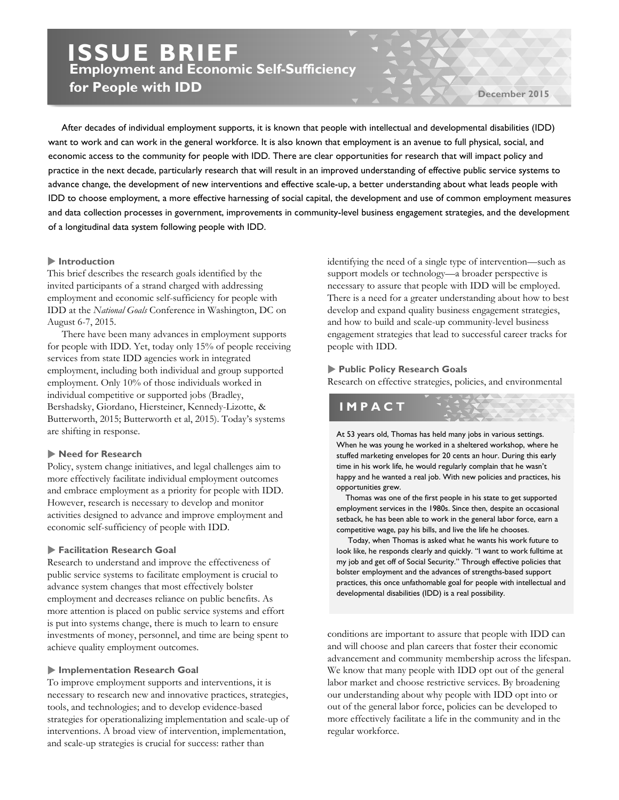# **ISSUE BRIEF Employment and Economic Self-Sufficiency for People with IDD**

**December 2015**

 of a longitudinal data system following people with IDD. After decades of individual employment supports, it is known that people with intellectual and developmental disabilities (IDD) want to work and can work in the general workforce. It is also known that employment is an avenue to full physical, social, and economic access to the community for people with IDD. There are clear opportunities for research that will impact policy and practice in the next decade, particularly research that will result in an improved understanding of effective public service systems to advance change, the development of new interventions and effective scale-up, a better understanding about what leads people with IDD to choose employment, a more effective harnessing of social capital, the development and use of common employment measures and data collection processes in government, improvements in community-level business engagement strategies, and the development

### **Introduction**

This brief describes the research goals identified by the invited participants of a strand charged with addressing employment and economic self-sufficiency for people with IDD at the *National Goals* Conference in Washington, DC on August 6-7, 2015.

There have been many advances in employment supports for people with IDD. Yet, today only 15% of people receiving services from state IDD agencies work in integrated employment, including both individual and group supported employment. Only 10% of those individuals worked in individual competitive or supported jobs (Bradley, Bershadsky, Giordano, Hiersteiner, Kennedy-Lizotte, & Butterworth, 2015; Butterworth et al, 2015). Today's systems are shifting in response.

# **Need for Research**

Policy, system change initiatives, and legal challenges aim to more effectively facilitate individual employment outcomes and embrace employment as a priority for people with IDD. However, research is necessary to develop and monitor activities designed to advance and improve employment and economic self-sufficiency of people with IDD.

### **Facilitation Research Goal**

Research to understand and improve the effectiveness of public service systems to facilitate employment is crucial to advance system changes that most effectively bolster employment and decreases reliance on public benefits. As more attention is placed on public service systems and effort is put into systems change, there is much to learn to ensure investments of money, personnel, and time are being spent to achieve quality employment outcomes.

### **Implementation Research Goal**

To improve employment supports and interventions, it is necessary to research new and innovative practices, strategies, tools, and technologies; and to develop evidence-based strategies for operationalizing implementation and scale-up of interventions. A broad view of intervention, implementation, and scale-up strategies is crucial for success: rather than

identifying the need of a single type of intervention—such as support models or technology—a broader perspective is necessary to assure that people with IDD will be employed. There is a need for a greater understanding about how to best develop and expand quality business engagement strategies, and how to build and scale-up community-level business engagement strategies that lead to successful career tracks for people with IDD.

### **Public Policy Research Goals**

Research on effective strategies, policies, and environmental

# **IMPACT**

At 53 years old, Thomas has held many jobs in various settings. When he was young he worked in a sheltered workshop, where he stuffed marketing envelopes for 20 cents an hour. During this early time in his work life, he would regularly complain that he wasn't happy and he wanted a real job. With new policies and practices, his opportunities grew.

 Thomas was one of the first people in his state to get supported employment services in the 1980s. Since then, despite an occasional setback, he has been able to work in the general labor force, earn a competitive wage, pay his bills, and live the life he chooses.

 Today, when Thomas is asked what he wants his work future to look like, he responds clearly and quickly. "I want to work fulltime at my job and get off of Social Security." Through effective policies that bolster employment and the advances of strengths-based support practices, this once unfathomable goal for people with intellectual and developmental disabilities (IDD) is a real possibility.

conditions are important to assure that people with IDD can and will choose and plan careers that foster their economic advancement and community membership across the lifespan. We know that many people with IDD opt out of the general labor market and choose restrictive services. By broadening our understanding about why people with IDD opt into or out of the general labor force, policies can be developed to more effectively facilitate a life in the community and in the regular workforce.